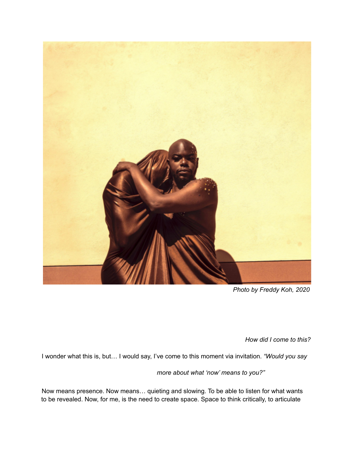

*Photo by Freddy Koh, 2020*

*How did I come to this?*

I wonder what this is, but… I would say, I've come to this moment via invitation. *"Would you say*

*more about what 'now' means to you?"*

Now means presence. Now means… quieting and slowing. To be able to listen for what wants to be revealed. Now, for me, is the need to create space. Space to think critically, to articulate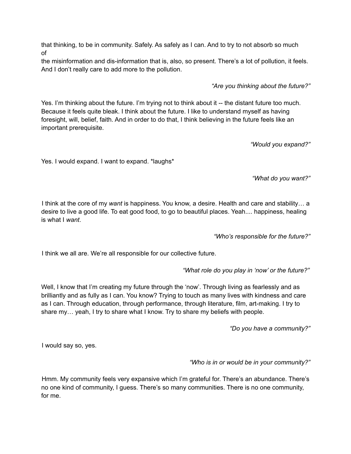that thinking, to be in community. Safely. As safely as I can. And to try to not absorb so much of

the misinformation and dis-information that is, also, so present. There's a lot of pollution, it feels. And I don't really care to add more to the pollution.

*"Are you thinking about the future?"*

Yes. I'm thinking about the future. I'm trying not to think about it -- the distant future too much. Because it feels quite bleak. I think about the future. I like to understand myself as having foresight, will, belief, faith. And in order to do that, I think believing in the future feels like an important prerequisite.

*"Would you expand?"*

Yes. I would expand. I want to expand. \*laughs\*

*"What do you want?"*

I think at the core of my *want* is happiness. You know, a desire. Health and care and stability… a desire to live a good life. To eat good food, to go to beautiful places. Yeah.... happiness, healing is what I *want*.

*"Who's responsible for the future?"*

I think we all are. We're all responsible for our collective future.

*"What role do you play in 'now' or the future?"*

Well, I know that I'm creating my future through the 'now'. Through living as fearlessly and as brilliantly and as fully as I can. You know? Trying to touch as many lives with kindness and care as I can. Through education, through performance, through literature, film, art-making. I try to share my… yeah, I try to share what I know. Try to share my beliefs with people.

*"Do you have a community?"*

I would say so, yes.

### *"Who is in or would be in your community?"*

Hmm. My community feels very expansive which I'm grateful for. There's an abundance. There's no one kind of community, I guess. There's so many communities. There is no one community, for me.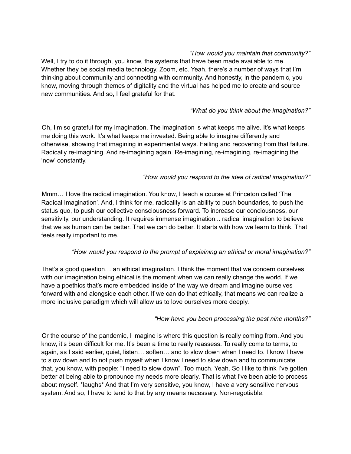# *"How would you maintain that community?"*

Well, I try to do it through, you know, the systems that have been made available to me. Whether they be social media technology, Zoom, etc. Yeah, there's a number of ways that I'm thinking about community and connecting with community. And honestly, in the pandemic, you know, moving through themes of digitality and the virtual has helped me to create and source new communities. And so, I feel grateful for that.

## *"What do you think about the imagination?"*

Oh, I'm so grateful for my imagination. The imagination is what keeps me alive. It's what keeps me doing this work. It's what keeps me invested. Being able to imagine differently and otherwise, showing that imagining in experimental ways. Failing and recovering from that failure. Radically re-imagining. And re-imagining again. Re-imagining, re-imagining, re-imagining the 'now' constantly.

## *"How would you respond to the idea of radical imagination?"*

Mmm… I love the radical imagination. You know, I teach a course at Princeton called 'The Radical Imagination'. And, I think for me, radicality is an ability to push boundaries, to push the status quo, to push our collective consciousness forward. To increase our conciousness, our sensitivity, our understanding. It requires immense imagination... radical imagination to believe that we as human can be better. That we can do better. It starts with how we learn to think. That feels really important to me.

## *"How would you respond to the prompt of explaining an ethical or moral imagination?"*

That's a good question… an ethical imagination. I think the moment that we concern ourselves with our imagination being ethical is the moment when we can really change the world. If we have a poethics that's more embedded inside of the way we dream and imagine ourselves forward with and alongside each other. If we can do that ethically, that means we can realize a more inclusive paradigm which will allow us to love ourselves more deeply.

### *"How have you been processing the past nine months?"*

Or the course of the pandemic, I imagine is where this question is really coming from. And you know, it's been difficult for me. It's been a time to really reassess. To really come to terms, to again, as I said earlier, quiet, listen… soften… and to slow down when I need to. I know I have to slow down and to not push myself when I know I need to slow down and to communicate that, you know, with people: "I need to slow down". Too much. Yeah. So I like to think I've gotten better at being able to pronounce my needs more clearly. That is what I've been able to process about myself. \*laughs\* And that I'm very sensitive, you know, I have a very sensitive nervous system. And so, I have to tend to that by any means necessary. Non-negotiable.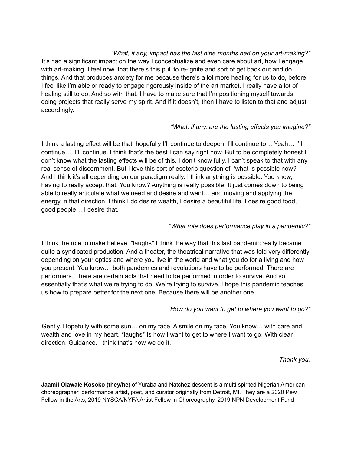*"What, if any, impact has the last nine months had on your art-making?"* It's had a significant impact on the way I conceptualize and even care about art, how I engage with art-making. I feel now, that there's this pull to re-ignite and sort of get back out and do things. And that produces anxiety for me because there's a lot more healing for us to do, before I feel like I'm able or ready to engage rigorously inside of the art market. I really have a lot of healing still to do. And so with that, I have to make sure that I'm positioning myself towards doing projects that really serve my spirit. And if it doesn't, then I have to listen to that and adjust accordingly.

### *"What, if any, are the lasting effects you imagine?"*

I think a lasting effect will be that, hopefully I'll continue to deepen. I'll continue to… Yeah… I'll continue…. I'll continue. I think that's the best I can say right now. But to be completely honest I don't know what the lasting effects will be of this. I don't know fully. I can't speak to that with any real sense of discernment. But I love this sort of esoteric question of, 'what is possible now?' And I think it's all depending on our paradigm really. I think anything is possible. You know, having to really accept that. You know? Anything is really possible. It just comes down to being able to really articulate what we need and desire and want… and moving and applying the energy in that direction. I think I do desire wealth, I desire a beautiful life, I desire good food, good people… I desire that.

#### *"What role does performance play in a pandemic?"*

I think the role to make believe. \*laughs\* I think the way that this last pandemic really became quite a syndicated production. And a theater, the theatrical narrative that was told very differently depending on your optics and where you live in the world and what you do for a living and how you present. You know… both pandemics and revolutions have to be performed. There are performers. There are certain acts that need to be performed in order to survive. And so essentially that's what we're trying to do. We're trying to survive. I hope this pandemic teaches us how to prepare better for the next one. Because there will be another one…

### *"How do you want to get to where you want to go?"*

Gently. Hopefully with some sun… on my face. A smile on my face. You know… with care and wealth and love in my heart. \*laughs\* Is how I want to get to where I want to go. With clear direction. Guidance. I think that's how we do it.

*Thank you.*

**Jaamil Olawale Kosoko (they/he)** of Yuraba and Natchez descent is a multi-spirited Nigerian American choreographer, performance artist, poet, and curator originally from Detroit, MI. They are a 2020 Pew Fellow in the Arts, 2019 NYSCA/NYFA Artist Fellow in Choreography, 2019 NPN Development Fund